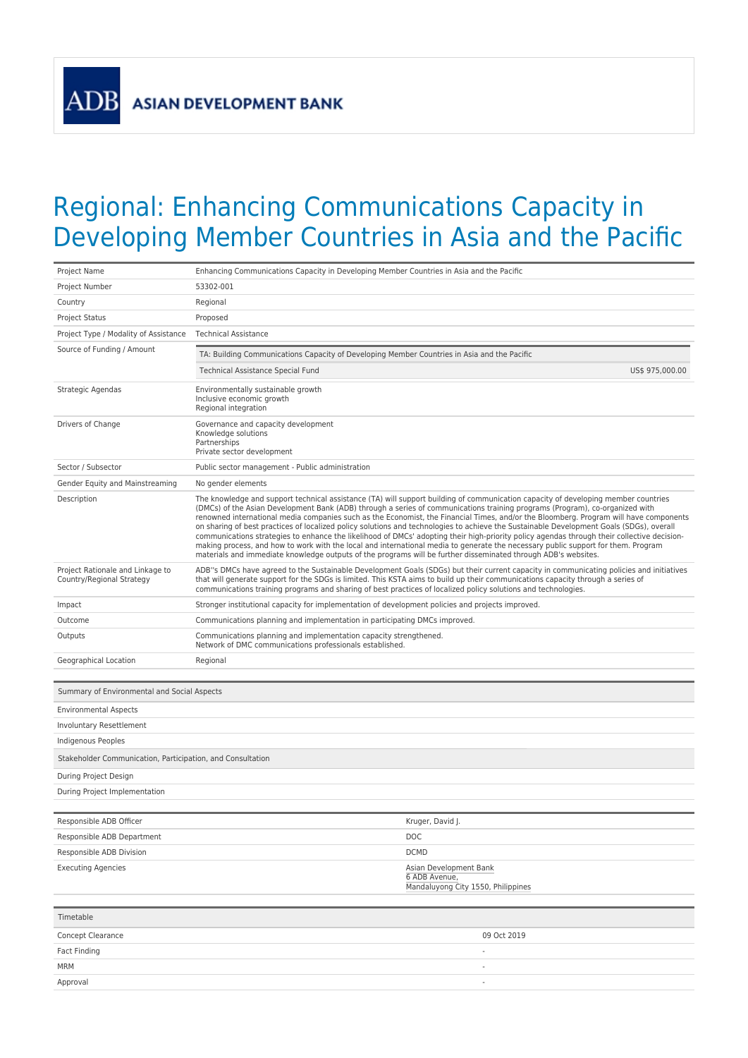**ASIAN DEVELOPMENT BANK** 

**ADB** 

## Regional: Enhancing Communications Capacity in Developing Member Countries in Asia and the Pacific

| Project Name                                                  | Enhancing Communications Capacity in Developing Member Countries in Asia and the Pacific                                                                                                                                                                                                                                                                                                                                                                                                                                                                                                                                                                                                                                                                                                                                                                                                                                                                      |                                                                               |
|---------------------------------------------------------------|---------------------------------------------------------------------------------------------------------------------------------------------------------------------------------------------------------------------------------------------------------------------------------------------------------------------------------------------------------------------------------------------------------------------------------------------------------------------------------------------------------------------------------------------------------------------------------------------------------------------------------------------------------------------------------------------------------------------------------------------------------------------------------------------------------------------------------------------------------------------------------------------------------------------------------------------------------------|-------------------------------------------------------------------------------|
| Project Number                                                | 53302-001                                                                                                                                                                                                                                                                                                                                                                                                                                                                                                                                                                                                                                                                                                                                                                                                                                                                                                                                                     |                                                                               |
| Country                                                       | Regional                                                                                                                                                                                                                                                                                                                                                                                                                                                                                                                                                                                                                                                                                                                                                                                                                                                                                                                                                      |                                                                               |
| <b>Project Status</b>                                         | Proposed                                                                                                                                                                                                                                                                                                                                                                                                                                                                                                                                                                                                                                                                                                                                                                                                                                                                                                                                                      |                                                                               |
| Project Type / Modality of Assistance                         | <b>Technical Assistance</b>                                                                                                                                                                                                                                                                                                                                                                                                                                                                                                                                                                                                                                                                                                                                                                                                                                                                                                                                   |                                                                               |
| Source of Funding / Amount                                    | TA: Building Communications Capacity of Developing Member Countries in Asia and the Pacific                                                                                                                                                                                                                                                                                                                                                                                                                                                                                                                                                                                                                                                                                                                                                                                                                                                                   |                                                                               |
|                                                               | Technical Assistance Special Fund                                                                                                                                                                                                                                                                                                                                                                                                                                                                                                                                                                                                                                                                                                                                                                                                                                                                                                                             | US\$ 975,000.00                                                               |
| Strategic Agendas                                             | Environmentally sustainable growth<br>Inclusive economic growth<br>Regional integration                                                                                                                                                                                                                                                                                                                                                                                                                                                                                                                                                                                                                                                                                                                                                                                                                                                                       |                                                                               |
| Drivers of Change                                             | Governance and capacity development<br>Knowledge solutions<br>Partnerships<br>Private sector development                                                                                                                                                                                                                                                                                                                                                                                                                                                                                                                                                                                                                                                                                                                                                                                                                                                      |                                                                               |
| Sector / Subsector                                            | Public sector management - Public administration                                                                                                                                                                                                                                                                                                                                                                                                                                                                                                                                                                                                                                                                                                                                                                                                                                                                                                              |                                                                               |
| Gender Equity and Mainstreaming                               | No gender elements                                                                                                                                                                                                                                                                                                                                                                                                                                                                                                                                                                                                                                                                                                                                                                                                                                                                                                                                            |                                                                               |
| Description                                                   | The knowledge and support technical assistance (TA) will support building of communication capacity of developing member countries<br>(DMCs) of the Asian Development Bank (ADB) through a series of communications training programs (Program), co-organized with<br>renowned international media companies such as the Economist, the Financial Times, and/or the Bloomberg. Program will have components<br>on sharing of best practices of localized policy solutions and technologies to achieve the Sustainable Development Goals (SDGs), overall<br>communications strategies to enhance the likelihood of DMCs' adopting their high-priority policy agendas through their collective decision-<br>making process, and how to work with the local and international media to generate the necessary public support for them. Program<br>materials and immediate knowledge outputs of the programs will be further disseminated through ADB's websites. |                                                                               |
| Project Rationale and Linkage to<br>Country/Regional Strategy | ADB"s DMCs have agreed to the Sustainable Development Goals (SDGs) but their current capacity in communicating policies and initiatives<br>that will generate support for the SDGs is limited. This KSTA aims to build up their communications capacity through a series of<br>communications training programs and sharing of best practices of localized policy solutions and technologies.                                                                                                                                                                                                                                                                                                                                                                                                                                                                                                                                                                 |                                                                               |
| Impact                                                        | Stronger institutional capacity for implementation of development policies and projects improved.                                                                                                                                                                                                                                                                                                                                                                                                                                                                                                                                                                                                                                                                                                                                                                                                                                                             |                                                                               |
| Outcome                                                       | Communications planning and implementation in participating DMCs improved.                                                                                                                                                                                                                                                                                                                                                                                                                                                                                                                                                                                                                                                                                                                                                                                                                                                                                    |                                                                               |
| Outputs                                                       | Communications planning and implementation capacity strengthened.<br>Network of DMC communications professionals established.                                                                                                                                                                                                                                                                                                                                                                                                                                                                                                                                                                                                                                                                                                                                                                                                                                 |                                                                               |
| Geographical Location                                         | Regional                                                                                                                                                                                                                                                                                                                                                                                                                                                                                                                                                                                                                                                                                                                                                                                                                                                                                                                                                      |                                                                               |
| Summary of Environmental and Social Aspects                   |                                                                                                                                                                                                                                                                                                                                                                                                                                                                                                                                                                                                                                                                                                                                                                                                                                                                                                                                                               |                                                                               |
| <b>Environmental Aspects</b>                                  |                                                                                                                                                                                                                                                                                                                                                                                                                                                                                                                                                                                                                                                                                                                                                                                                                                                                                                                                                               |                                                                               |
| Involuntary Resettlement                                      |                                                                                                                                                                                                                                                                                                                                                                                                                                                                                                                                                                                                                                                                                                                                                                                                                                                                                                                                                               |                                                                               |
| Indigenous Peoples                                            |                                                                                                                                                                                                                                                                                                                                                                                                                                                                                                                                                                                                                                                                                                                                                                                                                                                                                                                                                               |                                                                               |
| Stakeholder Communication, Participation, and Consultation    |                                                                                                                                                                                                                                                                                                                                                                                                                                                                                                                                                                                                                                                                                                                                                                                                                                                                                                                                                               |                                                                               |
| During Project Design                                         |                                                                                                                                                                                                                                                                                                                                                                                                                                                                                                                                                                                                                                                                                                                                                                                                                                                                                                                                                               |                                                                               |
| During Project Implementation                                 |                                                                                                                                                                                                                                                                                                                                                                                                                                                                                                                                                                                                                                                                                                                                                                                                                                                                                                                                                               |                                                                               |
|                                                               |                                                                                                                                                                                                                                                                                                                                                                                                                                                                                                                                                                                                                                                                                                                                                                                                                                                                                                                                                               |                                                                               |
| Responsible ADB Officer                                       |                                                                                                                                                                                                                                                                                                                                                                                                                                                                                                                                                                                                                                                                                                                                                                                                                                                                                                                                                               | Kruger, David J.                                                              |
| Responsible ADB Department                                    |                                                                                                                                                                                                                                                                                                                                                                                                                                                                                                                                                                                                                                                                                                                                                                                                                                                                                                                                                               | DOC                                                                           |
| Responsible ADB Division                                      |                                                                                                                                                                                                                                                                                                                                                                                                                                                                                                                                                                                                                                                                                                                                                                                                                                                                                                                                                               | <b>DCMD</b>                                                                   |
| <b>Executing Agencies</b>                                     |                                                                                                                                                                                                                                                                                                                                                                                                                                                                                                                                                                                                                                                                                                                                                                                                                                                                                                                                                               | Asian Development Bank<br>6 ADB Avenue,<br>Mandaluyong City 1550, Philippines |
| Timetable                                                     |                                                                                                                                                                                                                                                                                                                                                                                                                                                                                                                                                                                                                                                                                                                                                                                                                                                                                                                                                               |                                                                               |
| Concept Clearance                                             |                                                                                                                                                                                                                                                                                                                                                                                                                                                                                                                                                                                                                                                                                                                                                                                                                                                                                                                                                               | 09 Oct 2019                                                                   |
| Fact Finding                                                  |                                                                                                                                                                                                                                                                                                                                                                                                                                                                                                                                                                                                                                                                                                                                                                                                                                                                                                                                                               | $\overline{\phantom{a}}$                                                      |
| MRM                                                           |                                                                                                                                                                                                                                                                                                                                                                                                                                                                                                                                                                                                                                                                                                                                                                                                                                                                                                                                                               |                                                                               |
|                                                               |                                                                                                                                                                                                                                                                                                                                                                                                                                                                                                                                                                                                                                                                                                                                                                                                                                                                                                                                                               |                                                                               |

Approval -